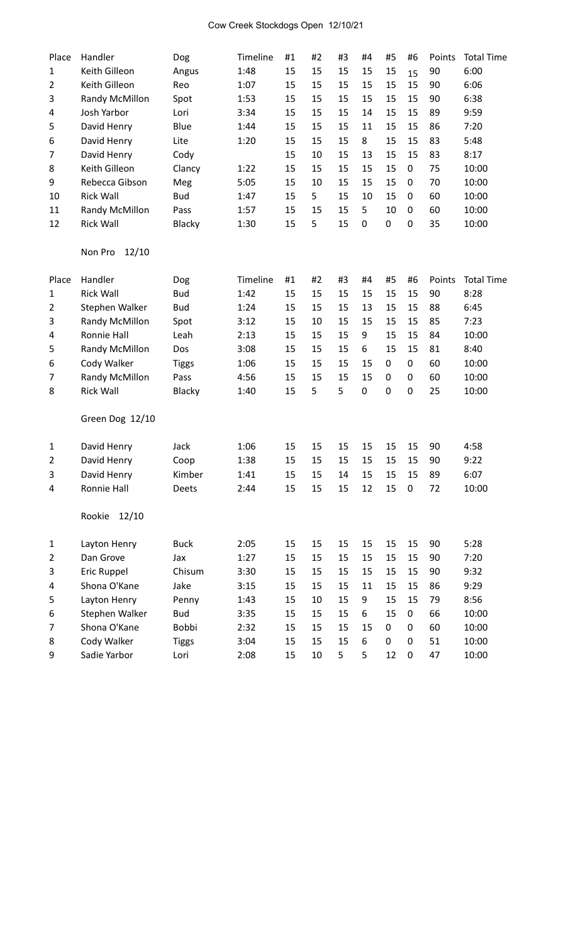# Cow Creek Stockdogs Open 12/10/21

| Place          | Handler          | Dog          | Timeline | #1 | #2 | #3 | #4 | #5 | #6               | Points | <b>Total Time</b> |
|----------------|------------------|--------------|----------|----|----|----|----|----|------------------|--------|-------------------|
| 1              | Keith Gilleon    | Angus        | 1:48     | 15 | 15 | 15 | 15 | 15 | 15               | 90     | 6:00              |
| $\overline{2}$ | Keith Gilleon    | Reo          | 1:07     | 15 | 15 | 15 | 15 | 15 | 15               | 90     | 6:06              |
| 3              | Randy McMillon   | Spot         | 1:53     | 15 | 15 | 15 | 15 | 15 | 15               | 90     | 6:38              |
| 4              | Josh Yarbor      | Lori         | 3:34     | 15 | 15 | 15 | 14 | 15 | 15               | 89     | 9:59              |
| 5              | David Henry      | Blue         | 1:44     | 15 | 15 | 15 | 11 | 15 | 15               | 86     | 7:20              |
| 6              | David Henry      | Lite         | 1:20     | 15 | 15 | 15 | 8  | 15 | 15               | 83     | 5:48              |
| 7              | David Henry      | Cody         |          | 15 | 10 | 15 | 13 | 15 | 15               | 83     | 8:17              |
| 8              | Keith Gilleon    | Clancy       | 1:22     | 15 | 15 | 15 | 15 | 15 | 0                | 75     | 10:00             |
| 9              | Rebecca Gibson   | Meg          | 5:05     | 15 | 10 | 15 | 15 | 15 | 0                | 70     | 10:00             |
| 10             | <b>Rick Wall</b> | <b>Bud</b>   | 1:47     | 15 | 5  | 15 | 10 | 15 | 0                | 60     | 10:00             |
| 11             | Randy McMillon   | Pass         | 1:57     | 15 | 15 | 15 | 5  | 10 | 0                | 60     | 10:00             |
| 12             | <b>Rick Wall</b> | Blacky       | 1:30     | 15 | 5  | 15 | 0  | 0  | $\mathbf 0$      | 35     | 10:00             |
|                | Non Pro<br>12/10 |              |          |    |    |    |    |    |                  |        |                   |
| Place          | Handler          | Dog          | Timeline | #1 | #2 | #3 | #4 | #5 | #6               | Points | <b>Total Time</b> |
| $\mathbf{1}$   | <b>Rick Wall</b> | <b>Bud</b>   | 1:42     | 15 | 15 | 15 | 15 | 15 | 15               | 90     | 8:28              |
| 2              | Stephen Walker   | <b>Bud</b>   | 1:24     | 15 | 15 | 15 | 13 | 15 | 15               | 88     | 6:45              |
| 3              | Randy McMillon   | Spot         | 3:12     | 15 | 10 | 15 | 15 | 15 | 15               | 85     | 7:23              |
| 4              | Ronnie Hall      | Leah         | 2:13     | 15 | 15 | 15 | 9  | 15 | 15               | 84     | 10:00             |
| 5              | Randy McMillon   | Dos          | 3:08     | 15 | 15 | 15 | 6  | 15 | 15               | 81     | 8:40              |
| 6              | Cody Walker      | <b>Tiggs</b> | 1:06     | 15 | 15 | 15 | 15 | 0  | $\boldsymbol{0}$ | 60     | 10:00             |
| 7              | Randy McMillon   | Pass         | 4:56     | 15 | 15 | 15 | 15 | 0  | $\mathbf 0$      | 60     | 10:00             |
| 8              | <b>Rick Wall</b> | Blacky       | 1:40     | 15 | 5  | 5  | 0  | 0  | $\mathbf 0$      | 25     | 10:00             |
|                | Green Dog 12/10  |              |          |    |    |    |    |    |                  |        |                   |
| 1              | David Henry      | Jack         | 1:06     | 15 | 15 | 15 | 15 | 15 | 15               | 90     | 4:58              |
| 2              | David Henry      | Coop         | 1:38     | 15 | 15 | 15 | 15 | 15 | 15               | 90     | 9:22              |
| 3              | David Henry      | Kimber       | 1:41     | 15 | 15 | 14 | 15 | 15 | 15               | 89     | 6:07              |
| 4              | Ronnie Hall      | Deets        | 2:44     | 15 | 15 | 15 | 12 | 15 | $\pmb{0}$        | 72     | 10:00             |
|                | 12/10<br>Rookie  |              |          |    |    |    |    |    |                  |        |                   |
| $\mathbf{1}$   | Layton Henry     | <b>Buck</b>  | 2:05     | 15 | 15 | 15 | 15 | 15 | 15               | 90     | 5:28              |
| $\overline{2}$ | Dan Grove        | Jax          | 1:27     | 15 | 15 | 15 | 15 | 15 | 15               | 90     | 7:20              |
| 3              | Eric Ruppel      | Chisum       | 3:30     | 15 | 15 | 15 | 15 | 15 | 15               | 90     | 9:32              |
| 4              | Shona O'Kane     | Jake         | 3:15     | 15 | 15 | 15 | 11 | 15 | 15               | 86     | 9:29              |
| 5              | Layton Henry     | Penny        | 1:43     | 15 | 10 | 15 | 9  | 15 | 15               | 79     | 8:56              |
| 6              | Stephen Walker   | <b>Bud</b>   | 3:35     | 15 | 15 | 15 | 6  | 15 | 0                | 66     | 10:00             |
| 7              | Shona O'Kane     | Bobbi        | 2:32     | 15 | 15 | 15 | 15 | 0  | 0                | 60     | 10:00             |
| 8              | Cody Walker      | <b>Tiggs</b> | 3:04     | 15 | 15 | 15 | 6  | 0  | 0                | 51     | 10:00             |
| 9              | Sadie Yarbor     | Lori         | 2:08     | 15 | 10 | 5  | 5  | 12 | $\pmb{0}$        | 47     | 10:00             |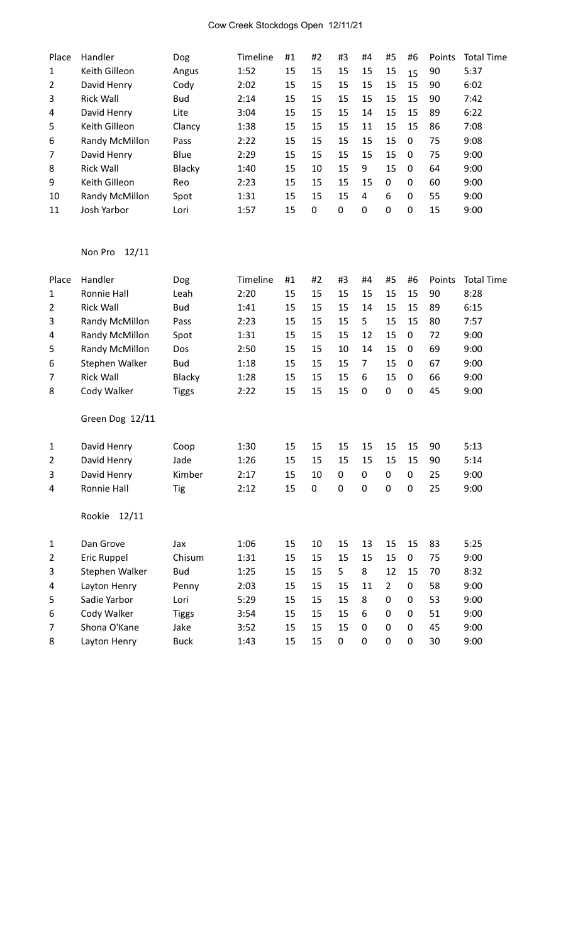# Cow Creek Stockdogs Open 12/11/21

| Place | Handler          | Dog        | Timeline | #1 | #2 | #3       | #4       | #5       | #6       | Points | <b>Total Time</b> |
|-------|------------------|------------|----------|----|----|----------|----------|----------|----------|--------|-------------------|
| 1     | Keith Gilleon    | Angus      | 1:52     | 15 | 15 | 15       | 15       | 15       | 15       | 90     | 5:37              |
| 2     | David Henry      | Cody       | 2:02     | 15 | 15 | 15       | 15       | 15       | 15       | 90     | 6:02              |
| 3     | <b>Rick Wall</b> | <b>Bud</b> | 2:14     | 15 | 15 | 15       | 15       | 15       | 15       | 90     | 7:42              |
| 4     | David Henry      | Lite       | 3:04     | 15 | 15 | 15       | 14       | 15       | 15       | -89    | 6:22              |
| 5     | Keith Gilleon    | Clancy     | 1:38     | 15 | 15 | 15       | 11       | 15       | 15       | 86     | 7:08              |
| 6     | Randy McMillon   | Pass       | 2:22     | 15 | 15 | 15       | 15       | 15       | $\Omega$ | 75     | 9:08              |
| 7     | David Henry      | Blue       | 2:29     | 15 | 15 | 15       | 15       | 15       | $\Omega$ | 75     | 9:00              |
| 8     | <b>Rick Wall</b> | Blacky     | 1:40     | 15 | 10 | 15       | 9        | 15       | $\Omega$ | 64     | 9:00              |
| 9     | Keith Gilleon    | Reo        | 2:23     | 15 | 15 | 15       | 15       | $\Omega$ | $\Omega$ | 60     | 9:00              |
| 10    | Randy McMillon   | Spot       | 1:31     | 15 | 15 | 15       | 4        | 6        | $\Omega$ | 55     | 9:00              |
| 11    | Josh Yarbor      | Lori       | 1:57     | 15 | 0  | $\Omega$ | $\Omega$ | 0        | $\Omega$ | 15     | 9:00              |

# Non Pro 12/11

| Place          | Handler          | Dog           | Timeline | #1 | #2 | #3          | #4             | #5             | #6               | Points | <b>Total Time</b> |
|----------------|------------------|---------------|----------|----|----|-------------|----------------|----------------|------------------|--------|-------------------|
| 1              | Ronnie Hall      | Leah          | 2:20     | 15 | 15 | 15          | 15             | 15             | 15               | 90     | 8:28              |
| 2              | <b>Rick Wall</b> | <b>Bud</b>    | 1:41     | 15 | 15 | 15          | 14             | 15             | 15               | 89     | 6:15              |
| 3              | Randy McMillon   | Pass          | 2:23     | 15 | 15 | 15          | 5              | 15             | 15               | 80     | 7:57              |
| 4              | Randy McMillon   | Spot          | 1:31     | 15 | 15 | 15          | 12             | 15             | $\mathbf 0$      | 72     | 9:00              |
| 5              | Randy McMillon   | Dos           | 2:50     | 15 | 15 | 10          | 14             | 15             | 0                | 69     | 9:00              |
| 6              | Stephen Walker   | <b>Bud</b>    | 1:18     | 15 | 15 | 15          | $\overline{7}$ | 15             | 0                | 67     | 9:00              |
| 7              | <b>Rick Wall</b> | <b>Blacky</b> | 1:28     | 15 | 15 | 15          | 6              | 15             | $\mathbf 0$      | 66     | 9:00              |
| 8              | Cody Walker      | <b>Tiggs</b>  | 2:22     | 15 | 15 | 15          | $\mathbf 0$    | $\mathbf 0$    | $\mathbf 0$      | 45     | 9:00              |
|                | Green Dog 12/11  |               |          |    |    |             |                |                |                  |        |                   |
| $\mathbf 1$    | David Henry      | Coop          | 1:30     | 15 | 15 | 15          | 15             | 15             | 15               | 90     | 5:13              |
| 2              | David Henry      | Jade          | 1:26     | 15 | 15 | 15          | 15             | 15             | 15               | 90     | 5:14              |
| 3              | David Henry      | Kimber        | 2:17     | 15 | 10 | 0           | 0              | $\mathbf 0$    | 0                | 25     | 9:00              |
| 4              | Ronnie Hall      | Tig           | 2:12     | 15 | 0  | 0           | $\mathbf 0$    | 0              | $\mathbf 0$      | 25     | 9:00              |
|                | 12/11<br>Rookie  |               |          |    |    |             |                |                |                  |        |                   |
| $\mathbf{1}$   | Dan Grove        | Jax           | 1:06     | 15 | 10 | 15          | 13             | 15             | 15               | 83     | 5:25              |
| $\overline{2}$ | Eric Ruppel      | Chisum        | 1:31     | 15 | 15 | 15          | 15             | 15             | $\boldsymbol{0}$ | 75     | 9:00              |
| 3              | Stephen Walker   | <b>Bud</b>    | 1:25     | 15 | 15 | 5           | 8              | 12             | 15               | 70     | 8:32              |
| 4              | Layton Henry     | Penny         | 2:03     | 15 | 15 | 15          | 11             | $\overline{2}$ | $\mathbf 0$      | 58     | 9:00              |
| 5              | Sadie Yarbor     | Lori          | 5:29     | 15 | 15 | 15          | 8              | $\mathbf 0$    | 0                | 53     | 9:00              |
| 6              | Cody Walker      | <b>Tiggs</b>  | 3:54     | 15 | 15 | 15          | 6              | $\mathbf 0$    | 0                | 51     | 9:00              |
| 7              | Shona O'Kane     | Jake          | 3:52     | 15 | 15 | 15          | $\mathbf 0$    | $\mathbf 0$    | 0                | 45     | 9:00              |
| 8              | Layton Henry     | <b>Buck</b>   | 1:43     | 15 | 15 | $\mathbf 0$ | $\mathbf 0$    | $\mathbf 0$    | $\mathbf 0$      | 30     | 9:00              |